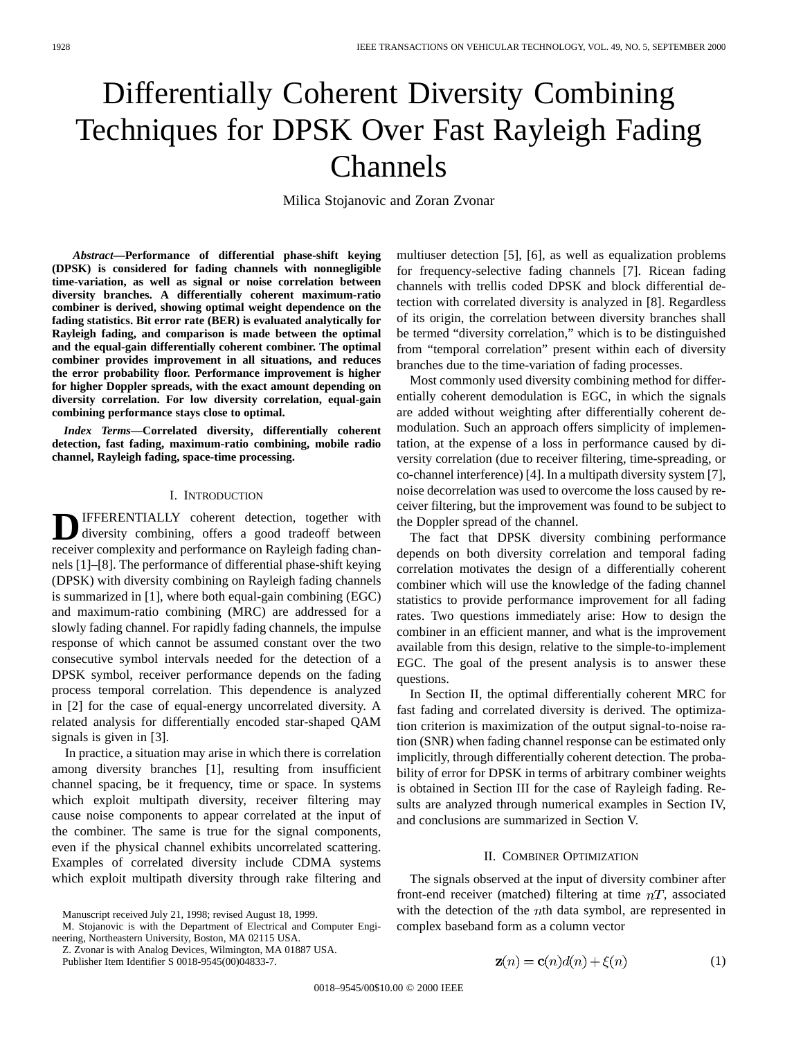# Differentially Coherent Diversity Combining Techniques for DPSK Over Fast Rayleigh Fading Channels

Milica Stojanovic and Zoran Zvonar

*Abstract—***Performance of differential phase-shift keying (DPSK) is considered for fading channels with nonnegligible time-variation, as well as signal or noise correlation between diversity branches. A differentially coherent maximum-ratio combiner is derived, showing optimal weight dependence on the fading statistics. Bit error rate (BER) is evaluated analytically for Rayleigh fading, and comparison is made between the optimal and the equal-gain differentially coherent combiner. The optimal combiner provides improvement in all situations, and reduces the error probability floor. Performance improvement is higher for higher Doppler spreads, with the exact amount depending on diversity correlation. For low diversity correlation, equal-gain combining performance stays close to optimal.**

*Index Terms—***Correlated diversity, differentially coherent detection, fast fading, maximum-ratio combining, mobile radio channel, Rayleigh fading, space-time processing.**

# I. INTRODUCTION

**D**IFFERENTIALLY coherent detection, together with diversity combining, offers a good tradeoff between receiver complexity and performance on Rayleigh fading channels [1]–[8]. The performance of differential phase-shift keying (DPSK) with diversity combining on Rayleigh fading channels is summarized in [1], where both equal-gain combining (EGC) and maximum-ratio combining (MRC) are addressed for a slowly fading channel. For rapidly fading channels, the impulse response of which cannot be assumed constant over the two consecutive symbol intervals needed for the detection of a DPSK symbol, receiver performance depends on the fading process temporal correlation. This dependence is analyzed in [2] for the case of equal-energy uncorrelated diversity. A related analysis for differentially encoded star-shaped QAM signals is given in [3].

In practice, a situation may arise in which there is correlation among diversity branches [1], resulting from insufficient channel spacing, be it frequency, time or space. In systems which exploit multipath diversity, receiver filtering may cause noise components to appear correlated at the input of the combiner. The same is true for the signal components, even if the physical channel exhibits uncorrelated scattering. Examples of correlated diversity include CDMA systems which exploit multipath diversity through rake filtering and multiuser detection [5], [6], as well as equalization problems for frequency-selective fading channels [7]. Ricean fading channels with trellis coded DPSK and block differential detection with correlated diversity is analyzed in [8]. Regardless of its origin, the correlation between diversity branches shall be termed "diversity correlation," which is to be distinguished from "temporal correlation" present within each of diversity branches due to the time-variation of fading processes.

Most commonly used diversity combining method for differentially coherent demodulation is EGC, in which the signals are added without weighting after differentially coherent demodulation. Such an approach offers simplicity of implementation, at the expense of a loss in performance caused by diversity correlation (due to receiver filtering, time-spreading, or co-channel interference) [4]. In a multipath diversity system [7], noise decorrelation was used to overcome the loss caused by receiver filtering, but the improvement was found to be subject to the Doppler spread of the channel.

The fact that DPSK diversity combining performance depends on both diversity correlation and temporal fading correlation motivates the design of a differentially coherent combiner which will use the knowledge of the fading channel statistics to provide performance improvement for all fading rates. Two questions immediately arise: How to design the combiner in an efficient manner, and what is the improvement available from this design, relative to the simple-to-implement EGC. The goal of the present analysis is to answer these questions.

In Section II, the optimal differentially coherent MRC for fast fading and correlated diversity is derived. The optimization criterion is maximization of the output signal-to-noise ration (SNR) when fading channel response can be estimated only implicitly, through differentially coherent detection. The probability of error for DPSK in terms of arbitrary combiner weights is obtained in Section III for the case of Rayleigh fading. Results are analyzed through numerical examples in Section IV, and conclusions are summarized in Section V.

#### II. COMBINER OPTIMIZATION

The signals observed at the input of diversity combiner after front-end receiver (matched) filtering at time  $nT$ , associated with the detection of the  $n$ th data symbol, are represented in complex baseband form as a column vector

$$
\mathbf{z}(n) = \mathbf{c}(n)d(n) + \xi(n) \tag{1}
$$

Manuscript received July 21, 1998; revised August 18, 1999.

M. Stojanovic is with the Department of Electrical and Computer Engineering, Northeastern University, Boston, MA 02115 USA.

Z. Zvonar is with Analog Devices, Wilmington, MA 01887 USA.

Publisher Item Identifier S 0018-9545(00)04833-7.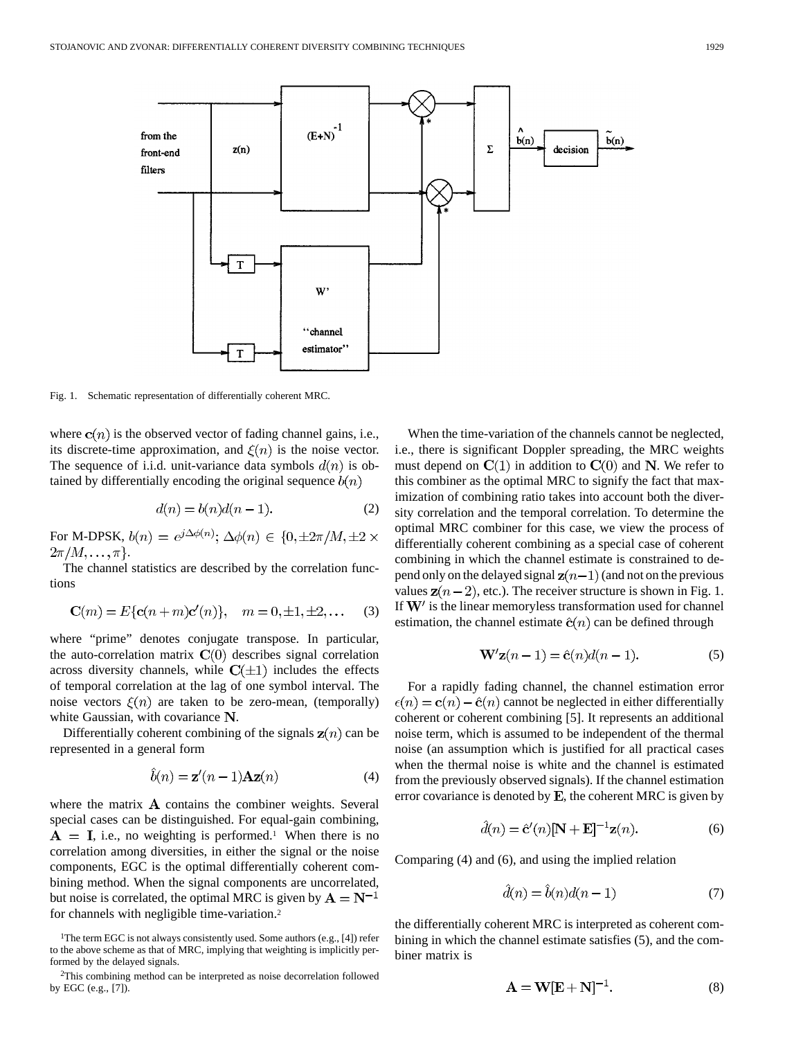

Fig. 1. Schematic representation of differentially coherent MRC.

where  $c(n)$  is the observed vector of fading channel gains, i.e., its discrete-time approximation, and  $\xi(n)$  is the noise vector. The sequence of i.i.d. unit-variance data symbols  $d(n)$  is obtained by differentially encoding the original sequence  $b(n)$ 

$$
d(n) = b(n)d(n-1).
$$
 (2)

For M-DPSK,  $b(n) = e^{j\Delta\phi(n)}$ ;  $\Delta\phi(n) \in \{0, \pm 2\pi/M, \pm 2 \times$  $2\pi/M,\ldots,\pi$ .

The channel statistics are described by the correlation functions

$$
\mathbf{C}(m) = E\{\mathbf{c}(n+m)\mathbf{c}'(n)\}, \quad m = 0, \pm 1, \pm 2, \dots \quad (3)
$$

where "prime" denotes conjugate transpose. In particular, the auto-correlation matrix  $\mathbf{C}(0)$  describes signal correlation across diversity channels, while  $C(\pm 1)$  includes the effects of temporal correlation at the lag of one symbol interval. The noise vectors  $\xi(n)$  are taken to be zero-mean, (temporally) white Gaussian, with covariance  $N$ .

Differentially coherent combining of the signals  $z(n)$  can be represented in a general form

$$
\hat{b}(n) = \mathbf{z}'(n-1)\mathbf{Az}(n)
$$
 (4)

where the matrix  $\bf{A}$  contains the combiner weights. Several special cases can be distinguished. For equal-gain combining,  $A = I$ , i.e., no weighting is performed.<sup>1</sup> When there is no correlation among diversities, in either the signal or the noise components, EGC is the optimal differentially coherent combining method. When the signal components are uncorrelated, but noise is correlated, the optimal MRC is given by  $A = N^{-1}$ for channels with negligible time-variation.2

When the time-variation of the channels cannot be neglected, i.e., there is significant Doppler spreading, the MRC weights must depend on  $\mathbf{C}(1)$  in addition to  $\mathbf{C}(0)$  and N. We refer to this combiner as the optimal MRC to signify the fact that maximization of combining ratio takes into account both the diversity correlation and the temporal correlation. To determine the optimal MRC combiner for this case, we view the process of differentially coherent combining as a special case of coherent combining in which the channel estimate is constrained to depend only on the delayed signal  $z(n-1)$  (and not on the previous values  $z(n-2)$ , etc.). The receiver structure is shown in Fig. 1. If  $W'$  is the linear memoryless transformation used for channel estimation, the channel estimate  $\hat{c}(n)$  can be defined through

$$
\mathbf{W'z}(n-1) = \hat{\mathbf{c}}(n)d(n-1).
$$
 (5)

For a rapidly fading channel, the channel estimation error  $\epsilon(n) = c(n) - \hat{c}(n)$  cannot be neglected in either differentially coherent or coherent combining [5]. It represents an additional noise term, which is assumed to be independent of the thermal noise (an assumption which is justified for all practical cases when the thermal noise is white and the channel is estimated from the previously observed signals). If the channel estimation error covariance is denoted by  $E$ , the coherent MRC is given by

$$
\hat{d}(n) = \hat{\mathbf{c}}'(n)[\mathbf{N} + \mathbf{E}]^{-1}\mathbf{z}(n).
$$
 (6)

Comparing (4) and (6), and using the implied relation

$$
\hat{d}(n) = \hat{b}(n)d(n-1)
$$
\n(7)

the differentially coherent MRC is interpreted as coherent combining in which the channel estimate satisfies (5), and the combiner matrix is

$$
\mathbf{A} = \mathbf{W}[\mathbf{E} + \mathbf{N}]^{-1}.
$$
 (8)

<sup>&</sup>lt;sup>1</sup>The term EGC is not always consistently used. Some authors (e.g., [4]) refer to the above scheme as that of MRC, implying that weighting is implicitly performed by the delayed signals.

<sup>2</sup>This combining method can be interpreted as noise decorrelation followed by EGC (e.g., [7]).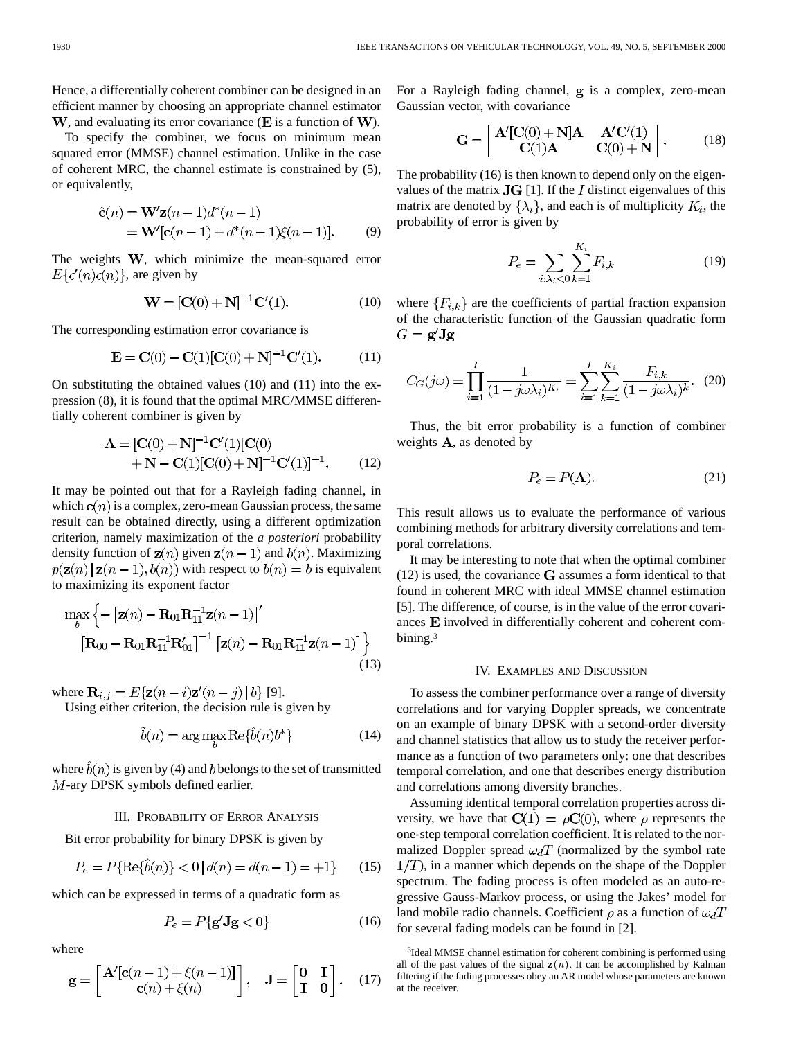Hence, a differentially coherent combiner can be designed in an efficient manner by choosing an appropriate channel estimator  $W$ , and evaluating its error covariance ( $E$  is a function of  $W$ ).

To specify the combiner, we focus on minimum mean squared error (MMSE) channel estimation. Unlike in the case of coherent MRC, the channel estimate is constrained by (5), or equivalently,

$$
\hat{\mathbf{c}}(n) = \mathbf{W}'\mathbf{z}(n-1)d^*(n-1) \n= \mathbf{W}'[\mathbf{c}(n-1) + d^*(n-1)\xi(n-1)].
$$
\n(9)

The weights  $W$ , which minimize the mean-squared error  $E\{\epsilon(n)\epsilon(n)\}\,$  are given by

$$
\mathbf{W} = [\mathbf{C}(0) + \mathbf{N}]^{-1} \mathbf{C}'(1). \tag{10}
$$

The corresponding estimation error covariance is

$$
\mathbf{E} = \mathbf{C}(0) - \mathbf{C}(1)[\mathbf{C}(0) + \mathbf{N}]^{-1}\mathbf{C}'(1).
$$
 (11)

On substituting the obtained values (10) and (11) into the expression (8), it is found that the optimal MRC/MMSE differentially coherent combiner is given by

$$
\mathbf{A} = [\mathbf{C}(0) + \mathbf{N}]^{-1} \mathbf{C}'(1) [\mathbf{C}(0) + \mathbf{N} - \mathbf{C}(1) [\mathbf{C}(0) + \mathbf{N}]^{-1} \mathbf{C}'(1)]^{-1}.
$$
 (12)

It may be pointed out that for a Rayleigh fading channel, in which  $c(n)$  is a complex, zero-mean Gaussian process, the same result can be obtained directly, using a different optimization criterion, namely maximization of the *a posteriori* probability density function of  $z(n)$  given  $z(n - 1)$  and  $b(n)$ . Maximizing  $p(\mathbf{z}(n) | \mathbf{z}(n-1), b(n))$  with respect to  $b(n) = b$  is equivalent to maximizing its exponent factor

$$
\max_{b} \left\{ -\left[ \mathbf{z}(n) - \mathbf{R}_{01} \mathbf{R}_{11}^{-1} \mathbf{z}(n-1) \right]' \right\}
$$

$$
\left[ \mathbf{R}_{00} - \mathbf{R}_{01} \mathbf{R}_{11}^{-1} \mathbf{R}_{01}' \right]^{-1} \left[ \mathbf{z}(n) - \mathbf{R}_{01} \mathbf{R}_{11}^{-1} \mathbf{z}(n-1) \right] \right\}
$$
(13)

where  $\mathbf{R}_{i,j} = E\{z(n-i)z'(n-j) | b\}$  [9]. Using either criterion, the decision rule is given by

$$
\tilde{b}(n) = \arg\max_{b} \text{Re}\{\hat{b}(n)b^*\}\tag{14}
$$

where  $b(n)$  is given by (4) and b belongs to the set of transmitted M-ary DPSK symbols defined earlier.

## III. PROBABILITY OF ERROR ANALYSIS

Bit error probability for binary DPSK is given by

$$
P_e = P\{\text{Re}\{\hat{b}(n)\} < 0 \,|\, d(n) = d(n-1) = +1\} \tag{15}
$$

which can be expressed in terms of a quadratic form as

$$
P_e = P\{\mathbf{g}'\mathbf{Jg} < 0\} \tag{16}
$$

where

$$
\mathbf{g} = \begin{bmatrix} \mathbf{A}^{\prime}[\mathbf{c}(n-1) + \xi(n-1)] \\ \mathbf{c}(n) + \xi(n) \end{bmatrix}, \quad \mathbf{J} = \begin{bmatrix} \mathbf{0} & \mathbf{I} \\ \mathbf{I} & \mathbf{0} \end{bmatrix}. \quad (17)
$$

For a Rayleigh fading channel, g is a complex, zero-mean Gaussian vector, with covariance

$$
\mathbf{G} = \begin{bmatrix} \mathbf{A}'[\mathbf{C}(0) + \mathbf{N}] \mathbf{A} & \mathbf{A}'\mathbf{C}'(1) \\ \mathbf{C}(1)\mathbf{A} & \mathbf{C}(0) + \mathbf{N} \end{bmatrix}.
$$
 (18)

The probability (16) is then known to depend only on the eigenvalues of the matrix  $JG$  [1]. If the I distinct eigenvalues of this matrix are denoted by  $\{\lambda_i\}$ , and each is of multiplicity  $K_i$ , the probability of error is given by

$$
P_e = \sum_{i:\lambda_i < 0} \sum_{k=1}^{K_i} F_{i,k} \tag{19}
$$

where  ${F_{i,k}}$  are the coefficients of partial fraction expansion of the characteristic function of the Gaussian quadratic form  $G = g'Jg$ 

$$
C_G(j\omega) = \prod_{i=1}^I \frac{1}{(1 - j\omega\lambda_i)^{K_i}} = \sum_{i=1}^I \sum_{k=1}^{K_i} \frac{F_{i,k}}{(1 - j\omega\lambda_i)^k}.
$$
 (20)

Thus, the bit error probability is a function of combiner weights  $A$ , as denoted by

$$
P_e = P(\mathbf{A}).\tag{21}
$$

This result allows us to evaluate the performance of various combining methods for arbitrary diversity correlations and temporal correlations.

It may be interesting to note that when the optimal combiner  $(12)$  is used, the covariance G assumes a form identical to that found in coherent MRC with ideal MMSE channel estimation [5]. The difference, of course, is in the value of the error covariances  $\bf{E}$  involved in differentially coherent and coherent combining.<sup>3</sup>

#### IV. EXAMPLES AND DISCUSSION

To assess the combiner performance over a range of diversity correlations and for varying Doppler spreads, we concentrate on an example of binary DPSK with a second-order diversity and channel statistics that allow us to study the receiver performance as a function of two parameters only: one that describes temporal correlation, and one that describes energy distribution and correlations among diversity branches.

Assuming identical temporal correlation properties across diversity, we have that  $C(1) = \rho C(0)$ , where  $\rho$  represents the one-step temporal correlation coefficient. It is related to the normalized Doppler spread  $\omega_d T$  (normalized by the symbol rate  $1/T$ ), in a manner which depends on the shape of the Doppler spectrum. The fading process is often modeled as an auto-regressive Gauss-Markov process, or using the Jakes' model for land mobile radio channels. Coefficient  $\rho$  as a function of  $\omega_d T$ for several fading models can be found in [2].

3Ideal MMSE channel estimation for coherent combining is performed using all of the past values of the signal  $z(n)$ . It can be accomplished by Kalman filtering if the fading processes obey an AR model whose parameters are known at the receiver.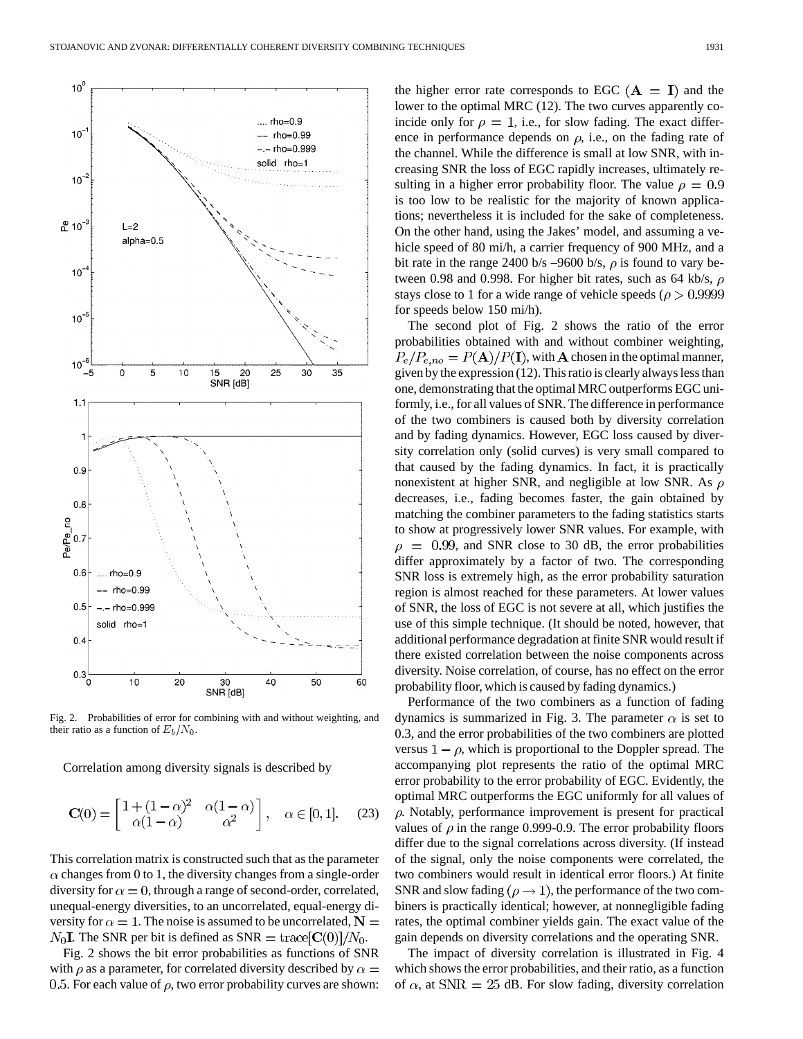

Fig. 2. Probabilities of error for combining with and without weighting, and their ratio as a function of  $E_b/N_0$ .

Correlation among diversity signals is described by

$$
\mathbf{C}(0) = \begin{bmatrix} 1 + (1 - \alpha)^2 & \alpha(1 - \alpha) \\ \alpha(1 - \alpha) & \alpha^2 \end{bmatrix}, \quad \alpha \in [0, 1].
$$
 (23)

This correlation matrix is constructed such that as the parameter  $\alpha$  changes from 0 to 1, the diversity changes from a single-order diversity for  $\alpha = 0$ , through a range of second-order, correlated, unequal-energy diversities, to an uncorrelated, equal-energy diversity for  $\alpha = 1$ . The noise is assumed to be uncorrelated,  $N =$  $N_0$ **I**. The SNR per bit is defined as SNR = trace  $C(0)/N_0$ .

Fig. 2 shows the bit error probabilities as functions of SNR with  $\rho$  as a parameter, for correlated diversity described by  $\alpha =$ 0.5. For each value of  $\rho$ , two error probability curves are shown: the higher error rate corresponds to EGC  $(A = I)$  and the lower to the optimal MRC (12). The two curves apparently coincide only for  $\rho = 1$ , i.e., for slow fading. The exact difference in performance depends on  $\rho$ , i.e., on the fading rate of the channel. While the difference is small at low SNR, with increasing SNR the loss of EGC rapidly increases, ultimately resulting in a higher error probability floor. The value  $\rho = 0.9$ is too low to be realistic for the majority of known applications; nevertheless it is included for the sake of completeness. On the other hand, using the Jakes' model, and assuming a vehicle speed of 80 mi/h, a carrier frequency of 900 MHz, and a bit rate in the range 2400 b/s –9600 b/s,  $\rho$  is found to vary between 0.98 and 0.998. For higher bit rates, such as 64 kb/s,  $\rho$ stays close to 1 for a wide range of vehicle speeds ( $\rho > 0.9999$ ) for speeds below 150 mi/h).

The second plot of Fig. 2 shows the ratio of the error probabilities obtained with and without combiner weighting,  $P_e/P_{e, no} = P(\mathbf{A})/P(\mathbf{I})$ , with **A** chosen in the optimal manner, given by the expression (12). This ratio is clearly always less than one, demonstrating that the optimal MRC outperforms EGC uniformly, i.e., for all values of SNR. The difference in performance of the two combiners is caused both by diversity correlation and by fading dynamics. However, EGC loss caused by diversity correlation only (solid curves) is very small compared to that caused by the fading dynamics. In fact, it is practically nonexistent at higher SNR, and negligible at low SNR. As  $\rho$ decreases, i.e., fading becomes faster, the gain obtained by matching the combiner parameters to the fading statistics starts to show at progressively lower SNR values. For example, with  $\rho = 0.99$ , and SNR close to 30 dB, the error probabilities differ approximately by a factor of two. The corresponding SNR loss is extremely high, as the error probability saturation region is almost reached for these parameters. At lower values of SNR, the loss of EGC is not severe at all, which justifies the use of this simple technique. (It should be noted, however, that additional performance degradation at finite SNR would result if there existed correlation between the noise components across diversity. Noise correlation, of course, has no effect on the error probability floor, which is caused by fading dynamics.)

Performance of the two combiners as a function of fading dynamics is summarized in Fig. 3. The parameter  $\alpha$  is set to 0.3, and the error probabilities of the two combiners are plotted versus  $1 - \rho$ , which is proportional to the Doppler spread. The accompanying plot represents the ratio of the optimal MRC error probability to the error probability of EGC. Evidently, the optimal MRC outperforms the EGC uniformly for all values of  $\rho$ . Notably, performance improvement is present for practical values of  $\rho$  in the range 0.999-0.9. The error probability floors differ due to the signal correlations across diversity. (If instead of the signal, only the noise components were correlated, the two combiners would result in identical error floors.) At finite SNR and slow fading ( $\rho \rightarrow 1$ ), the performance of the two combiners is practically identical; however, at nonnegligible fading rates, the optimal combiner yields gain. The exact value of the gain depends on diversity correlations and the operating SNR.

The impact of diversity correlation is illustrated in Fig. 4 which shows the error probabilities, and their ratio, as a function of  $\alpha$ , at SNR = 25 dB. For slow fading, diversity correlation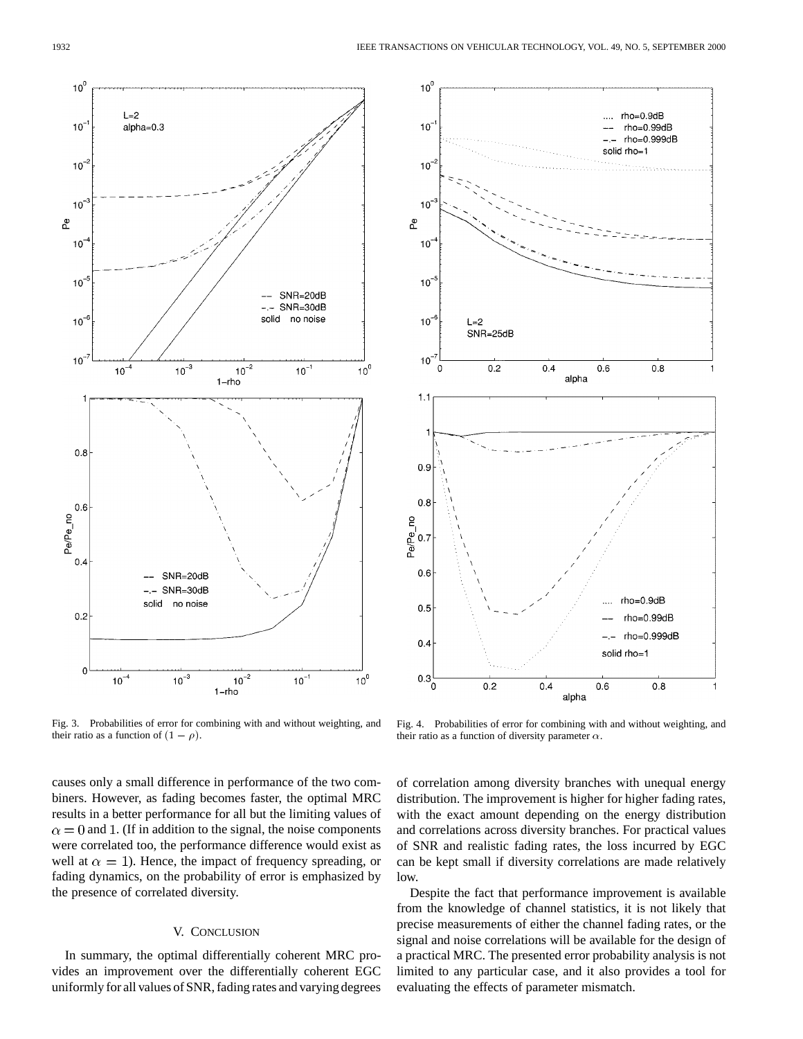$I = 2$  $10<sup>7</sup>$ alpha=0.3  $10<sup>-1</sup>$  $10$ உ  $10$  $10$  $SNP = 20dB$ SNR=30dB no noise solid  $10^{-}$  $10<sup>7</sup>$  $10^{-3}$  $10<sup>7</sup>$  $10^{-1}$  $10<sup>0</sup>$  $10^{-2}$  $1$ -rho  $0.8$  $0.6$ Pe/Pe\_no  $0.4$  $SNR = 20dB$  $SNR = 30dB$ no noise solid  $0.2$  $\mathsf{C}$  $10^{-3}$  $10^{-2}$  $10^{-4}$  $10^{-1}$  $10<sup>0</sup>$  $1$ -rho



Fig. 3. Probabilities of error for combining with and without weighting, and their ratio as a function of  $(1 - \rho)$ .

causes only a small difference in performance of the two combiners. However, as fading becomes faster, the optimal MRC results in a better performance for all but the limiting values of  $\alpha = 0$  and 1. (If in addition to the signal, the noise components were correlated too, the performance difference would exist as well at  $\alpha = 1$ ). Hence, the impact of frequency spreading, or fading dynamics, on the probability of error is emphasized by the presence of correlated diversity.

# V. CONCLUSION

In summary, the optimal differentially coherent MRC provides an improvement over the differentially coherent EGC uniformly for all values of SNR, fading rates and varying degrees

Fig. 4. Probabilities of error for combining with and without weighting, and their ratio as a function of diversity parameter  $\alpha.$ 

of correlation among diversity branches with unequal energy distribution. The improvement is higher for higher fading rates, with the exact amount depending on the energy distribution and correlations across diversity branches. For practical values of SNR and realistic fading rates, the loss incurred by EGC can be kept small if diversity correlations are made relatively low.

Despite the fact that performance improvement is available from the knowledge of channel statistics, it is not likely that precise measurements of either the channel fading rates, or the signal and noise correlations will be available for the design of a practical MRC. The presented error probability analysis is not limited to any particular case, and it also provides a tool for evaluating the effects of parameter mismatch.

 $10<sup>0</sup>$